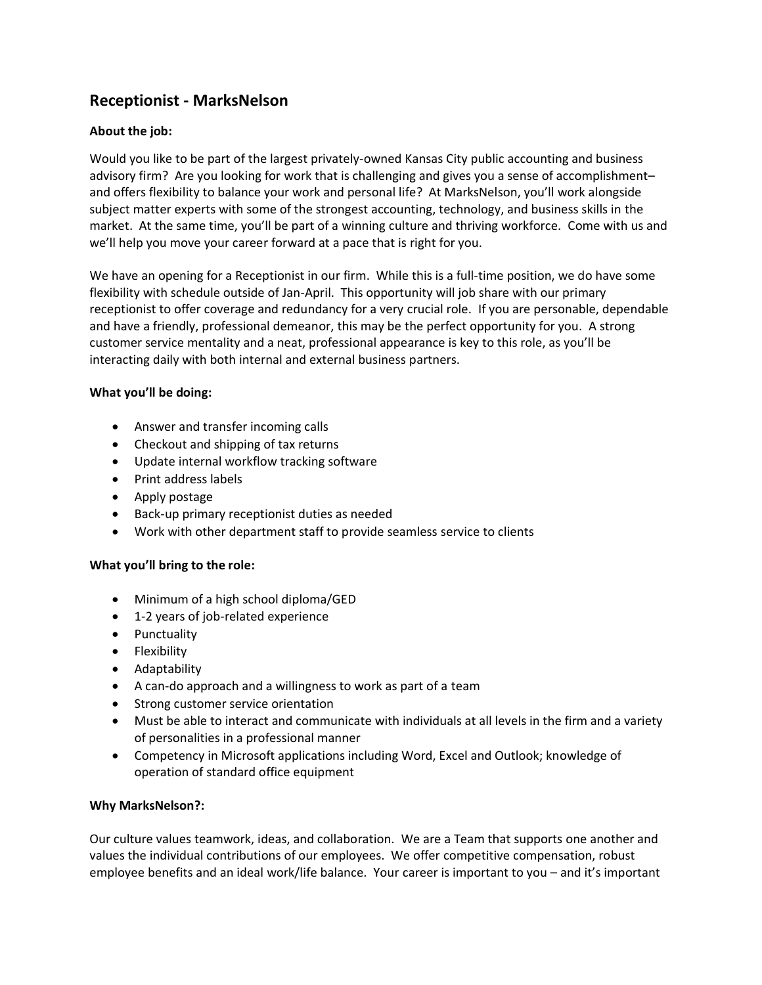# **Receptionist - MarksNelson**

### **About the job:**

Would you like to be part of the largest privately-owned Kansas City public accounting and business advisory firm? Are you looking for work that is challenging and gives you a sense of accomplishment– and offers flexibility to balance your work and personal life? At MarksNelson, you'll work alongside subject matter experts with some of the strongest accounting, technology, and business skills in the market. At the same time, you'll be part of a winning culture and thriving workforce. Come with us and we'll help you move your career forward at a pace that is right for you.

We have an opening for a Receptionist in our firm. While this is a full-time position, we do have some flexibility with schedule outside of Jan-April. This opportunity will job share with our primary receptionist to offer coverage and redundancy for a very crucial role. If you are personable, dependable and have a friendly, professional demeanor, this may be the perfect opportunity for you. A strong customer service mentality and a neat, professional appearance is key to this role, as you'll be interacting daily with both internal and external business partners.

#### **What you'll be doing:**

- Answer and transfer incoming calls
- Checkout and shipping of tax returns
- Update internal workflow tracking software
- Print address labels
- Apply postage
- Back-up primary receptionist duties as needed
- Work with other department staff to provide seamless service to clients

#### **What you'll bring to the role:**

- Minimum of a high school diploma/GED
- 1-2 years of job-related experience
- Punctuality
- Flexibility
- Adaptability
- A can-do approach and a willingness to work as part of a team
- Strong customer service orientation
- Must be able to interact and communicate with individuals at all levels in the firm and a variety of personalities in a professional manner
- Competency in Microsoft applications including Word, Excel and Outlook; knowledge of operation of standard office equipment

#### **Why MarksNelson?:**

Our culture values teamwork, ideas, and collaboration. We are a Team that supports one another and values the individual contributions of our employees. We offer competitive compensation, robust employee benefits and an ideal work/life balance. Your career is important to you – and it's important